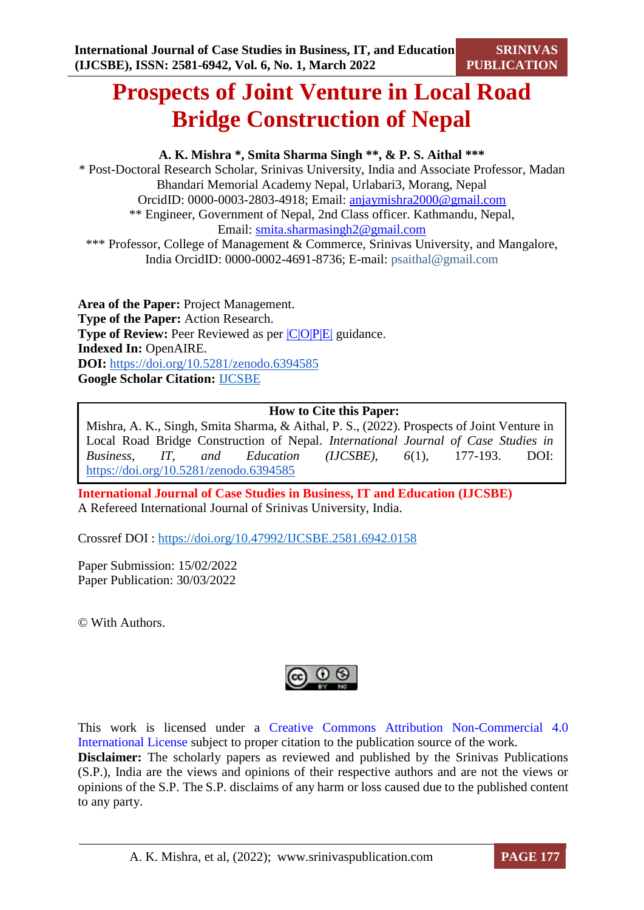# **Prospects of Joint Venture in Local Road Bridge Construction of Nepal**

## **A. K. Mishra \*, Smita Sharma Singh \*\*, & P. S. Aithal \*\*\***

\* Post-Doctoral Research Scholar, Srinivas University, India and Associate Professor, Madan Bhandari Memorial Academy Nepal, Urlabari3, Morang, Nepal OrcidID: 0000-0003-2803-4918; Email: [anjaymishra2000@gmail.com](mailto:anjaymishra2000@gmail.com) \*\* Engineer, Government of Nepal, 2nd Class officer. Kathmandu, Nepal, Email: [smita.sharmasingh2@gmail.com](mailto:smita.sharmasingh2@gmail.com) \*\*\* Professor, College of Management & Commerce, Srinivas University, and Mangalore,

India OrcidID: 0000-0002-4691-8736; E-mail: psaithal@gmail.com

**Area of the Paper:** Project Management. **Type of the Paper:** Action Research. **Type of Review:** Peer Reviewed as per  $|C|O||P|E|$  guidance. **Indexed In:** OpenAIRE. **DOI:** <https://doi.org/10.5281/zenodo.6394585> **Google Scholar Citation:** [IJCSBE](https://scholar.google.com/citations?user=yGYPA1MAAAAJ)

## **How to Cite this Paper:**

Mishra, A. K., Singh, Smita Sharma, & Aithal, P. S., (2022). Prospects of Joint Venture in Local Road Bridge Construction of Nepal. *International Journal of Case Studies in Business, IT, and Education (IJCSBE), 6*(1), 177-193. DOI: <https://doi.org/10.5281/zenodo.6394585>

**International Journal of Case Studies in Business, IT and Education (IJCSBE)** A Refereed International Journal of Srinivas University, India.

Crossref DOI : [https://doi.org/10.47992/IJCSBE.2581.6942.0158](https://search.crossref.org/?q=10.47992%2FIJCSBE.2581.6942.0158&from_ui=yes)

Paper Submission: 15/02/2022 Paper Publication: 30/03/2022

© With Authors.



This work is licensed under a Creative Commons Attribution Non-Commercial 4.0 International License subject to proper citation to the publication source of the work. **Disclaimer:** The scholarly papers as reviewed and published by the Srinivas Publications (S.P.), India are the views and opinions of their respective authors and are not the views or opinions of the S.P. The S.P. disclaims of any harm or loss caused due to the published content to any party.

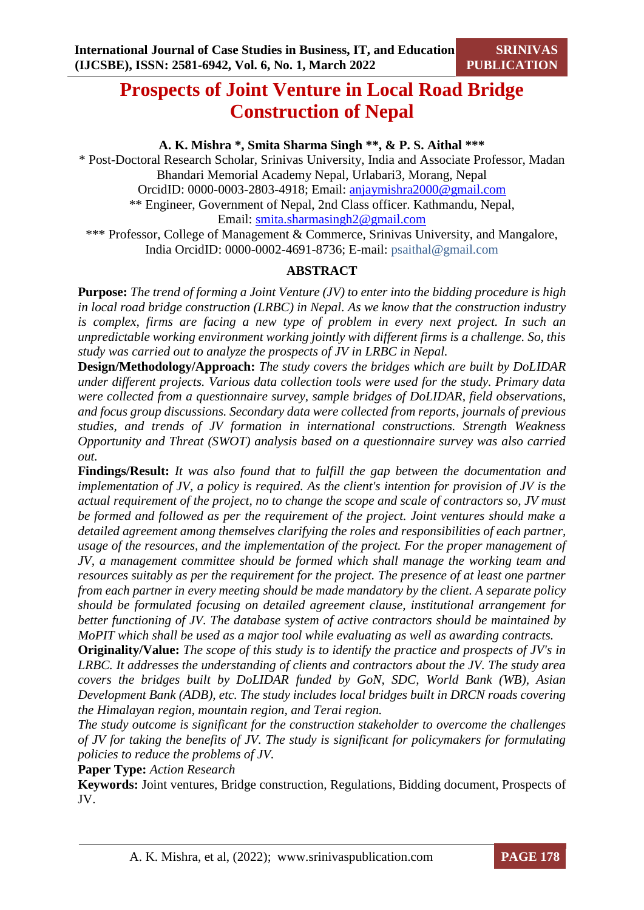## **Prospects of Joint Venture in Local Road Bridge Construction of Nepal**

**A. K. Mishra \*, Smita Sharma Singh \*\*, & P. S. Aithal \*\*\***

\* Post-Doctoral Research Scholar, Srinivas University, India and Associate Professor, Madan Bhandari Memorial Academy Nepal, Urlabari3, Morang, Nepal OrcidID: 0000-0003-2803-4918; Email: [anjaymishra2000@gmail.com](mailto:anjaymishra2000@gmail.com) \*\* Engineer, Government of Nepal, 2nd Class officer. Kathmandu, Nepal, Email: [smita.sharmasingh2@gmail.com](mailto:smita.sharmasingh2@gmail.com) \*\*\* Professor, College of Management & Commerce, Srinivas University, and Mangalore,

India OrcidID: 0000-0002-4691-8736; E-mail: psaithal@gmail.com

## **ABSTRACT**

**Purpose:** *The trend of forming a Joint Venture (JV) to enter into the bidding procedure is high in local road bridge construction (LRBC) in Nepal. As we know that the construction industry*  is complex, firms are facing a new type of problem in every next project. In such an *unpredictable working environment working jointly with different firms is a challenge. So, this study was carried out to analyze the prospects of JV in LRBC in Nepal.* 

**Design/Methodology/Approach:** *The study covers the bridges which are built by DoLIDAR under different projects. Various data collection tools were used for the study. Primary data were collected from a questionnaire survey, sample bridges of DoLIDAR, field observations, and focus group discussions. Secondary data were collected from reports, journals of previous studies, and trends of JV formation in international constructions. Strength Weakness Opportunity and Threat (SWOT) analysis based on a questionnaire survey was also carried out.*

**Findings/Result:** *It was also found that to fulfill the gap between the documentation and implementation of JV, a policy is required. As the client's intention for provision of JV is the actual requirement of the project, no to change the scope and scale of contractors so, JV must be formed and followed as per the requirement of the project. Joint ventures should make a detailed agreement among themselves clarifying the roles and responsibilities of each partner, usage of the resources, and the implementation of the project. For the proper management of JV, a management committee should be formed which shall manage the working team and resources suitably as per the requirement for the project. The presence of at least one partner from each partner in every meeting should be made mandatory by the client. A separate policy should be formulated focusing on detailed agreement clause, institutional arrangement for better functioning of JV. The database system of active contractors should be maintained by MoPIT which shall be used as a major tool while evaluating as well as awarding contracts.*

**Originality/Value:** *The scope of this study is to identify the practice and prospects of JV's in LRBC. It addresses the understanding of clients and contractors about the JV. The study area covers the bridges built by DoLIDAR funded by GoN, SDC, World Bank (WB), Asian Development Bank (ADB), etc. The study includes local bridges built in DRCN roads covering the Himalayan region, mountain region, and Terai region.*

*The study outcome is significant for the construction stakeholder to overcome the challenges of JV for taking the benefits of JV. The study is significant for policymakers for formulating policies to reduce the problems of JV.*

**Paper Type:** *Action Research* 

**Keywords:** Joint ventures, Bridge construction, Regulations, Bidding document, Prospects of JV.

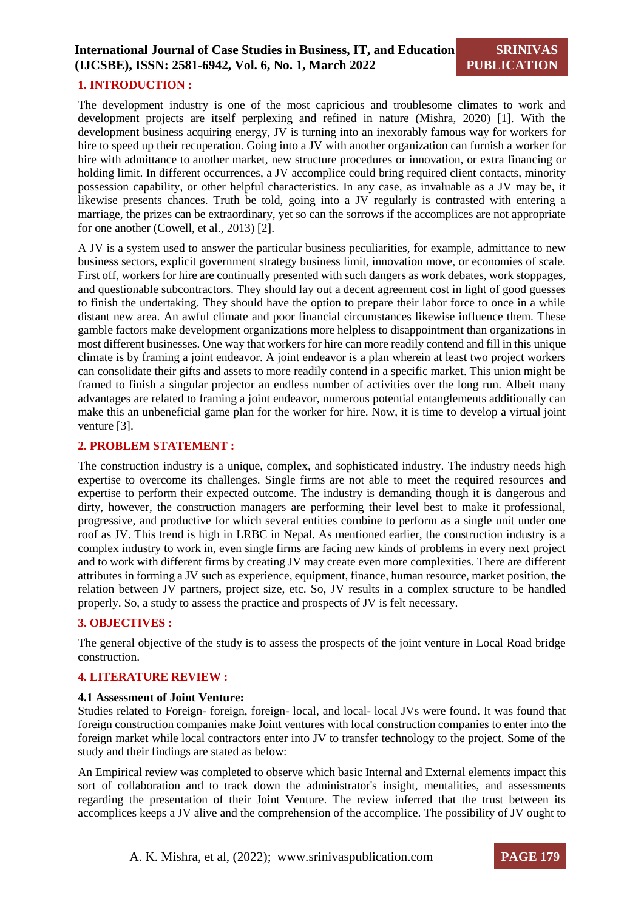#### **1. INTRODUCTION :**

The development industry is one of the most capricious and troublesome climates to work and development projects are itself perplexing and refined in nature (Mishra, 2020) [1]. With the development business acquiring energy, JV is turning into an inexorably famous way for workers for hire to speed up their recuperation. Going into a JV with another organization can furnish a worker for hire with admittance to another market, new structure procedures or innovation, or extra financing or holding limit. In different occurrences, a JV accomplice could bring required client contacts, minority possession capability, or other helpful characteristics. In any case, as invaluable as a JV may be, it likewise presents chances. Truth be told, going into a JV regularly is contrasted with entering a marriage, the prizes can be extraordinary, yet so can the sorrows if the accomplices are not appropriate for one another (Cowell, et al., 2013) [2].

A JV is a system used to answer the particular business peculiarities, for example, admittance to new business sectors, explicit government strategy business limit, innovation move, or economies of scale. First off, workers for hire are continually presented with such dangers as work debates, work stoppages, and questionable subcontractors. They should lay out a decent agreement cost in light of good guesses to finish the undertaking. They should have the option to prepare their labor force to once in a while distant new area. An awful climate and poor financial circumstances likewise influence them. These gamble factors make development organizations more helpless to disappointment than organizations in most different businesses. One way that workers for hire can more readily contend and fill in this unique climate is by framing a joint endeavor. A joint endeavor is a plan wherein at least two project workers can consolidate their gifts and assets to more readily contend in a specific market. This union might be framed to finish a singular projector an endless number of activities over the long run. Albeit many advantages are related to framing a joint endeavor, numerous potential entanglements additionally can make this an unbeneficial game plan for the worker for hire. Now, it is time to develop a virtual joint venture [3].

#### **2. PROBLEM STATEMENT :**

The construction industry is a unique, complex, and sophisticated industry. The industry needs high expertise to overcome its challenges. Single firms are not able to meet the required resources and expertise to perform their expected outcome. The industry is demanding though it is dangerous and dirty, however, the construction managers are performing their level best to make it professional, progressive, and productive for which several entities combine to perform as a single unit under one roof as JV. This trend is high in LRBC in Nepal. As mentioned earlier, the construction industry is a complex industry to work in, even single firms are facing new kinds of problems in every next project and to work with different firms by creating JV may create even more complexities. There are different attributes in forming a JV such as experience, equipment, finance, human resource, market position, the relation between JV partners, project size, etc. So, JV results in a complex structure to be handled properly. So, a study to assess the practice and prospects of JV is felt necessary.

## **3. OBJECTIVES :**

The general objective of the study is to assess the prospects of the joint venture in Local Road bridge construction.

## **4. LITERATURE REVIEW :**

#### **4.1 Assessment of Joint Venture:**

Studies related to Foreign- foreign, foreign- local, and local- local JVs were found. It was found that foreign construction companies make Joint ventures with local construction companies to enter into the foreign market while local contractors enter into JV to transfer technology to the project. Some of the study and their findings are stated as below:

An Empirical review was completed to observe which basic Internal and External elements impact this sort of collaboration and to track down the administrator's insight, mentalities, and assessments regarding the presentation of their Joint Venture. The review inferred that the trust between its accomplices keeps a JV alive and the comprehension of the accomplice. The possibility of JV ought to

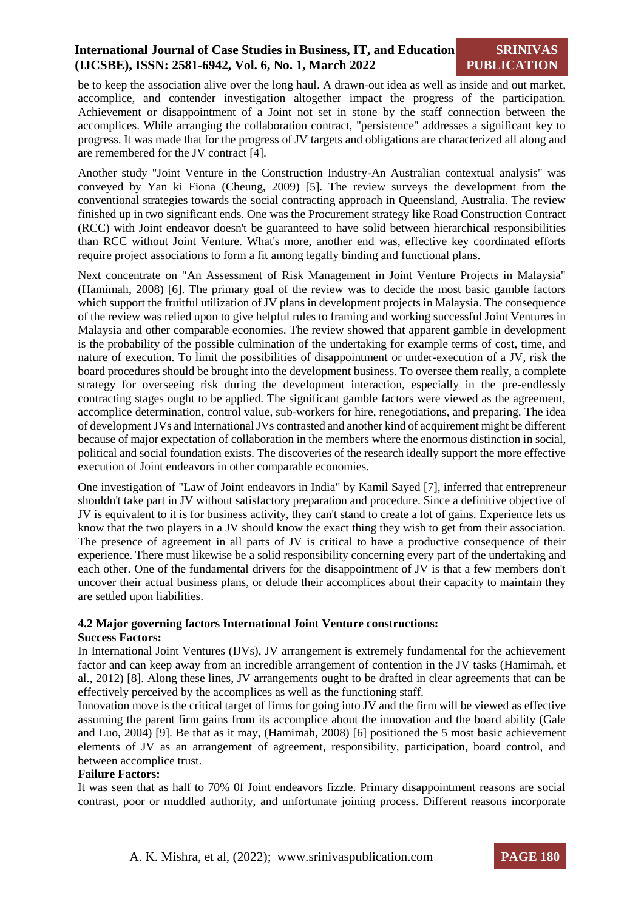be to keep the association alive over the long haul. A drawn-out idea as well as inside and out market, accomplice, and contender investigation altogether impact the progress of the participation. Achievement or disappointment of a Joint not set in stone by the staff connection between the accomplices. While arranging the collaboration contract, "persistence" addresses a significant key to progress. It was made that for the progress of JV targets and obligations are characterized all along and are remembered for the JV contract [4].

Another study "Joint Venture in the Construction Industry-An Australian contextual analysis" was conveyed by Yan ki Fiona (Cheung, 2009) [5]. The review surveys the development from the conventional strategies towards the social contracting approach in Queensland, Australia. The review finished up in two significant ends. One was the Procurement strategy like Road Construction Contract (RCC) with Joint endeavor doesn't be guaranteed to have solid between hierarchical responsibilities than RCC without Joint Venture. What's more, another end was, effective key coordinated efforts require project associations to form a fit among legally binding and functional plans.

Next concentrate on "An Assessment of Risk Management in Joint Venture Projects in Malaysia" (Hamimah, 2008) [6]. The primary goal of the review was to decide the most basic gamble factors which support the fruitful utilization of JV plans in development projects in Malaysia. The consequence of the review was relied upon to give helpful rules to framing and working successful Joint Ventures in Malaysia and other comparable economies. The review showed that apparent gamble in development is the probability of the possible culmination of the undertaking for example terms of cost, time, and nature of execution. To limit the possibilities of disappointment or under-execution of a JV, risk the board procedures should be brought into the development business. To oversee them really, a complete strategy for overseeing risk during the development interaction, especially in the pre-endlessly contracting stages ought to be applied. The significant gamble factors were viewed as the agreement, accomplice determination, control value, sub-workers for hire, renegotiations, and preparing. The idea of development JVs and International JVs contrasted and another kind of acquirement might be different because of major expectation of collaboration in the members where the enormous distinction in social, political and social foundation exists. The discoveries of the research ideally support the more effective execution of Joint endeavors in other comparable economies.

One investigation of "Law of Joint endeavors in India" by Kamil Sayed [7], inferred that entrepreneur shouldn't take part in JV without satisfactory preparation and procedure. Since a definitive objective of JV is equivalent to it is for business activity, they can't stand to create a lot of gains. Experience lets us know that the two players in a JV should know the exact thing they wish to get from their association. The presence of agreement in all parts of JV is critical to have a productive consequence of their experience. There must likewise be a solid responsibility concerning every part of the undertaking and each other. One of the fundamental drivers for the disappointment of JV is that a few members don't uncover their actual business plans, or delude their accomplices about their capacity to maintain they are settled upon liabilities.

## **4.2 Major governing factors International Joint Venture constructions:**

#### **Success Factors:**

In International Joint Ventures (IJVs), JV arrangement is extremely fundamental for the achievement factor and can keep away from an incredible arrangement of contention in the JV tasks (Hamimah, et al., 2012) [8]. Along these lines, JV arrangements ought to be drafted in clear agreements that can be effectively perceived by the accomplices as well as the functioning staff.

Innovation move is the critical target of firms for going into JV and the firm will be viewed as effective assuming the parent firm gains from its accomplice about the innovation and the board ability (Gale and Luo, 2004) [9]. Be that as it may, (Hamimah, 2008) [6] positioned the 5 most basic achievement elements of JV as an arrangement of agreement, responsibility, participation, board control, and between accomplice trust.

#### **Failure Factors:**

It was seen that as half to 70% 0f Joint endeavors fizzle. Primary disappointment reasons are social contrast, poor or muddled authority, and unfortunate joining process. Different reasons incorporate

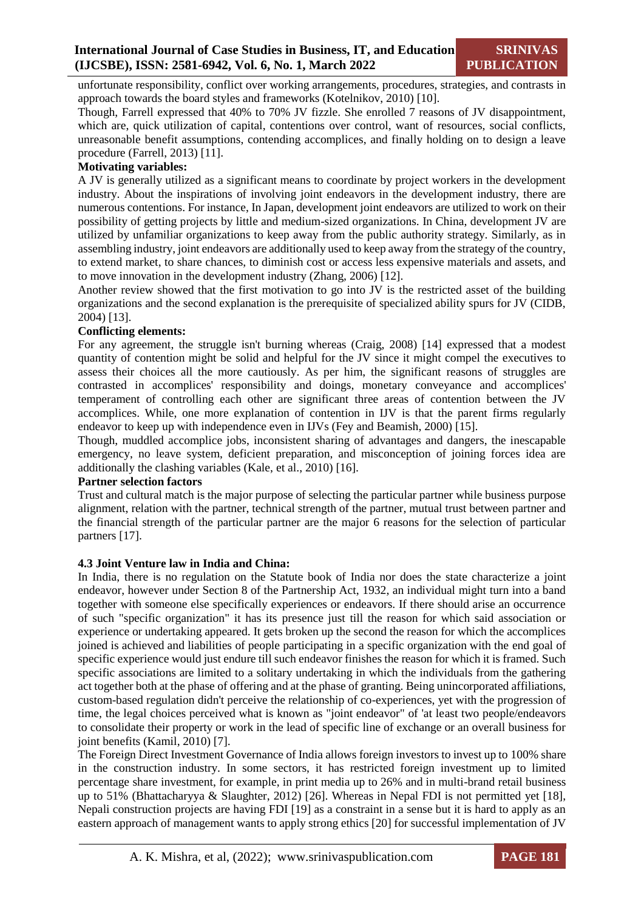unfortunate responsibility, conflict over working arrangements, procedures, strategies, and contrasts in approach towards the board styles and frameworks (Kotelnikov, 2010) [10].

Though, Farrell expressed that 40% to 70% JV fizzle. She enrolled 7 reasons of JV disappointment, which are, quick utilization of capital, contentions over control, want of resources, social conflicts, unreasonable benefit assumptions, contending accomplices, and finally holding on to design a leave procedure (Farrell, 2013) [11].

#### **Motivating variables:**

A JV is generally utilized as a significant means to coordinate by project workers in the development industry. About the inspirations of involving joint endeavors in the development industry, there are numerous contentions. For instance, In Japan, development joint endeavors are utilized to work on their possibility of getting projects by little and medium-sized organizations. In China, development JV are utilized by unfamiliar organizations to keep away from the public authority strategy. Similarly, as in assembling industry, joint endeavors are additionally used to keep away from the strategy of the country, to extend market, to share chances, to diminish cost or access less expensive materials and assets, and to move innovation in the development industry (Zhang, 2006) [12].

Another review showed that the first motivation to go into JV is the restricted asset of the building organizations and the second explanation is the prerequisite of specialized ability spurs for JV (CIDB, 2004) [13].

#### **Conflicting elements:**

For any agreement, the struggle isn't burning whereas (Craig, 2008) [14] expressed that a modest quantity of contention might be solid and helpful for the JV since it might compel the executives to assess their choices all the more cautiously. As per him, the significant reasons of struggles are contrasted in accomplices' responsibility and doings, monetary conveyance and accomplices' temperament of controlling each other are significant three areas of contention between the JV accomplices. While, one more explanation of contention in IJV is that the parent firms regularly endeavor to keep up with independence even in IJVs (Fey and Beamish, 2000) [15].

Though, muddled accomplice jobs, inconsistent sharing of advantages and dangers, the inescapable emergency, no leave system, deficient preparation, and misconception of joining forces idea are additionally the clashing variables (Kale, et al., 2010) [16].

#### **Partner selection factors**

Trust and cultural match is the major purpose of selecting the particular partner while business purpose alignment, relation with the partner, technical strength of the partner, mutual trust between partner and the financial strength of the particular partner are the major 6 reasons for the selection of particular partners [17].

#### **4.3 Joint Venture law in India and China:**

In India, there is no regulation on the Statute book of India nor does the state characterize a joint endeavor, however under Section 8 of the Partnership Act, 1932, an individual might turn into a band together with someone else specifically experiences or endeavors. If there should arise an occurrence of such "specific organization" it has its presence just till the reason for which said association or experience or undertaking appeared. It gets broken up the second the reason for which the accomplices joined is achieved and liabilities of people participating in a specific organization with the end goal of specific experience would just endure till such endeavor finishes the reason for which it is framed. Such specific associations are limited to a solitary undertaking in which the individuals from the gathering act together both at the phase of offering and at the phase of granting. Being unincorporated affiliations, custom-based regulation didn't perceive the relationship of co-experiences, yet with the progression of time, the legal choices perceived what is known as "joint endeavor" of 'at least two people/endeavors to consolidate their property or work in the lead of specific line of exchange or an overall business for joint benefits (Kamil, 2010) [7].

The Foreign Direct Investment Governance of India allows foreign investors to invest up to 100% share in the construction industry. In some sectors, it has restricted foreign investment up to limited percentage share investment, for example, in print media up to 26% and in multi-brand retail business up to 51% (Bhattacharyya & Slaughter, 2012) [26]. Whereas in Nepal FDI is not permitted yet [18], Nepali construction projects are having FDI [19] as a constraint in a sense but it is hard to apply as an eastern approach of management wants to apply strong ethics [20] for successful implementation of JV

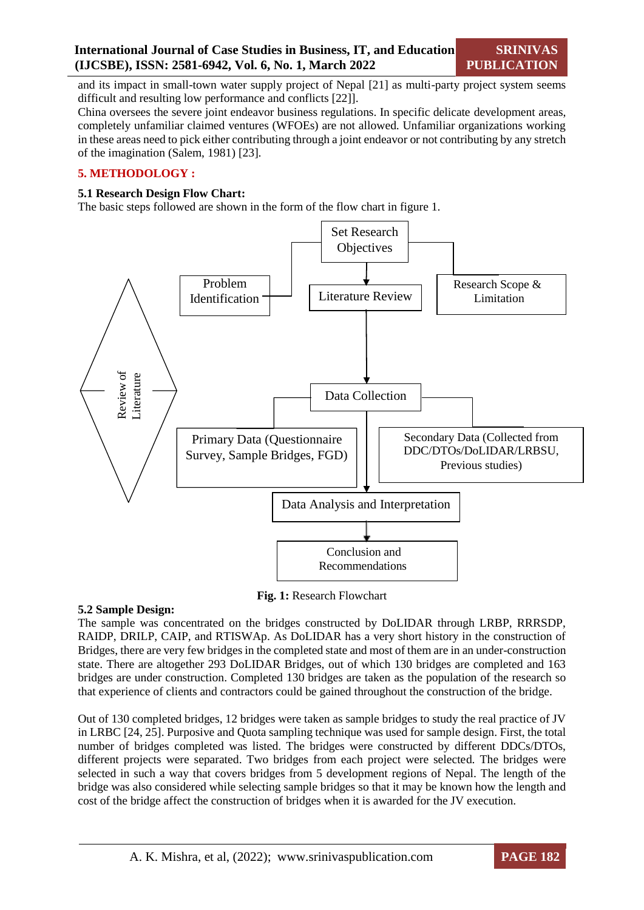and its impact in small-town water supply project of Nepal [21] as multi-party project system seems difficult and resulting low performance and conflicts [22]].

China oversees the severe joint endeavor business regulations. In specific delicate development areas, completely unfamiliar claimed ventures (WFOEs) are not allowed. Unfamiliar organizations working in these areas need to pick either contributing through a joint endeavor or not contributing by any stretch of the imagination (Salem, 1981) [23].

## **5. METHODOLOGY :**

#### **5.1 Research Design Flow Chart:**

The basic steps followed are shown in the form of the flow chart in figure 1.



**Fig. 1:** Research Flowchart

#### **5.2 Sample Design:**

The sample was concentrated on the bridges constructed by DoLIDAR through LRBP, RRRSDP, RAIDP, DRILP, CAIP, and RTISWAp. As DoLIDAR has a very short history in the construction of Bridges, there are very few bridges in the completed state and most of them are in an under-construction state. There are altogether 293 DoLIDAR Bridges, out of which 130 bridges are completed and 163 bridges are under construction. Completed 130 bridges are taken as the population of the research so that experience of clients and contractors could be gained throughout the construction of the bridge.

Out of 130 completed bridges, 12 bridges were taken as sample bridges to study the real practice of JV in LRBC [24, 25]. Purposive and Quota sampling technique was used for sample design. First, the total number of bridges completed was listed. The bridges were constructed by different DDCs/DTOs, different projects were separated. Two bridges from each project were selected. The bridges were selected in such a way that covers bridges from 5 development regions of Nepal. The length of the bridge was also considered while selecting sample bridges so that it may be known how the length and cost of the bridge affect the construction of bridges when it is awarded for the JV execution.

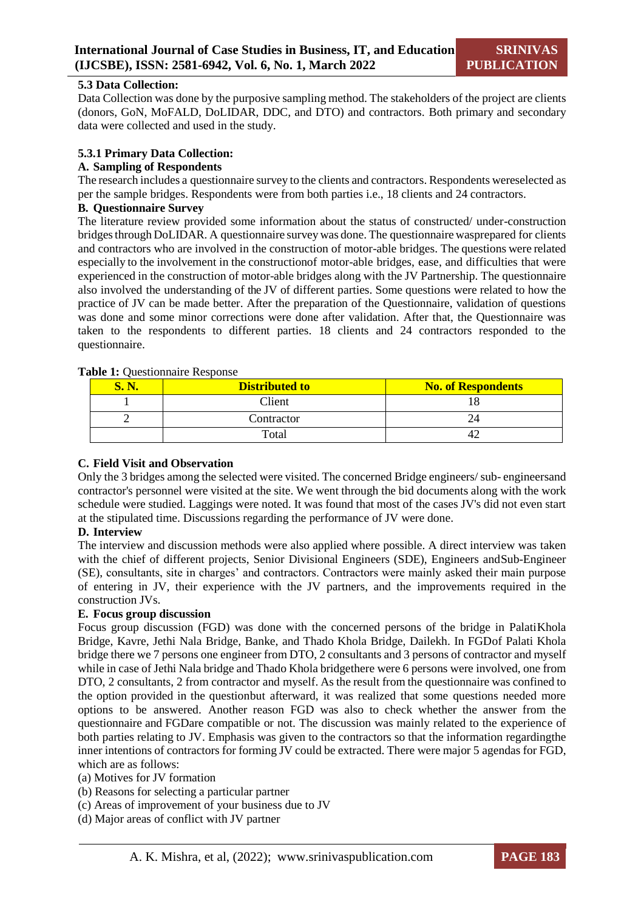#### **5.3 Data Collection:**

Data Collection was done by the purposive sampling method. The stakeholders of the project are clients (donors, GoN, MoFALD, DoLIDAR, DDC, and DTO) and contractors. Both primary and secondary data were collected and used in the study.

## **5.3.1 Primary Data Collection:**

### **A. Sampling of Respondents**

The research includes a questionnaire survey to the clients and contractors. Respondents wereselected as per the sample bridges. Respondents were from both parties i.e., 18 clients and 24 contractors.

## **B. Questionnaire Survey**

The literature review provided some information about the status of constructed/ under-construction bridgesthrough DoLIDAR. A questionnaire surveywas done. The questionnaire wasprepared for clients and contractors who are involved in the construction of motor-able bridges. The questions were related especially to the involvement in the constructionof motor-able bridges, ease, and difficulties that were experienced in the construction of motor-able bridges along with the JV Partnership. The questionnaire also involved the understanding of the JV of different parties. Some questions were related to how the practice of JV can be made better. After the preparation of the Questionnaire, validation of questions was done and some minor corrections were done after validation. After that, the Questionnaire was taken to the respondents to different parties. 18 clients and 24 contractors responded to the questionnaire.

| <b>Distributed to</b> | <b>No. of Respondents</b> |
|-----------------------|---------------------------|
| Client                |                           |
| Contractor            |                           |
| Total                 |                           |

#### **Table 1:** Questionnaire Response

## **C. Field Visit and Observation**

Only the 3 bridges among the selected were visited. The concerned Bridge engineers/ sub- engineersand contractor's personnel were visited at the site. We went through the bid documents along with the work schedule were studied. Laggings were noted. It was found that most of the cases JV's did not even start at the stipulated time. Discussions regarding the performance of JV were done.

#### **D. Interview**

The interview and discussion methods were also applied where possible. A direct interview was taken with the chief of different projects, Senior Divisional Engineers (SDE), Engineers andSub-Engineer (SE), consultants, site in charges' and contractors. Contractors were mainly asked their main purpose of entering in JV, their experience with the JV partners, and the improvements required in the construction JVs.

## **E. Focus group discussion**

Focus group discussion (FGD) was done with the concerned persons of the bridge in PalatiKhola Bridge, Kavre, Jethi Nala Bridge, Banke, and Thado Khola Bridge, Dailekh. In FGDof Palati Khola bridge there we 7 persons one engineer from DTO, 2 consultants and 3 persons of contractor and myself while in case of Jethi Nala bridge and Thado Khola bridgethere were 6 persons were involved, one from DTO, 2 consultants, 2 from contractor and myself. As the result from the questionnaire was confined to the option provided in the questionbut afterward, it was realized that some questions needed more options to be answered. Another reason FGD was also to check whether the answer from the questionnaire and FGDare compatible or not. The discussion was mainly related to the experience of both parties relating to JV. Emphasis was given to the contractors so that the information regardingthe inner intentions of contractors for forming JV could be extracted. There were major 5 agendas for FGD, which are as follows:

#### (a) Motives for JV formation

- (b) Reasons for selecting a particular partner
- (c) Areas of improvement of your business due to JV
- (d) Major areas of conflict with JV partner

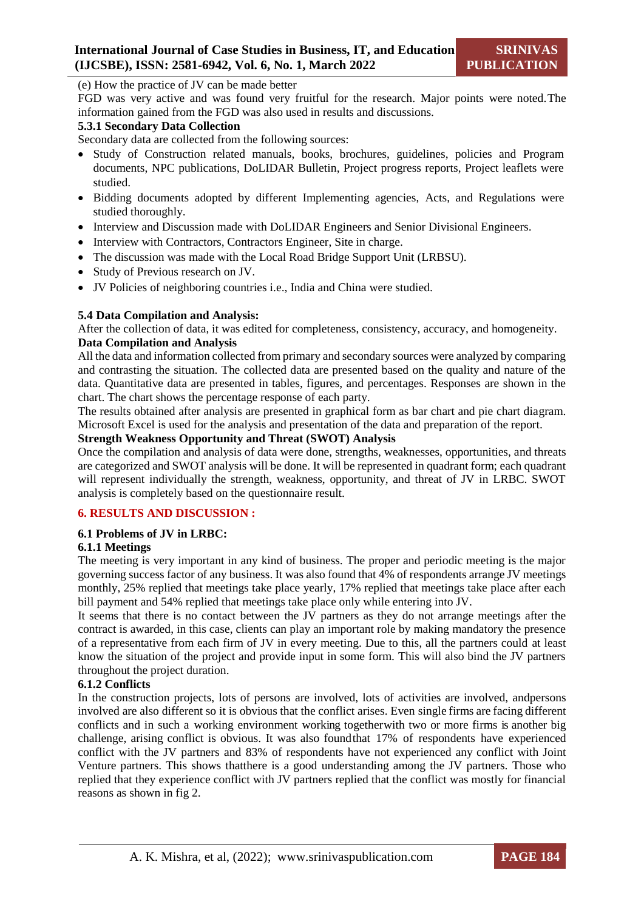(e) How the practice of JV can be made better

FGD was very active and was found very fruitful for the research. Major points were noted.The information gained from the FGD was also used in results and discussions.

## **5.3.1 Secondary Data Collection**

Secondary data are collected from the following sources:

- Study of Construction related manuals, books, brochures, guidelines, policies and Program documents, NPC publications, DoLIDAR Bulletin, Project progress reports, Project leaflets were studied.
- Bidding documents adopted by different Implementing agencies, Acts, and Regulations were studied thoroughly.
- Interview and Discussion made with DoLIDAR Engineers and Senior Divisional Engineers.
- Interview with Contractors, Contractors Engineer, Site in charge.
- The discussion was made with the Local Road Bridge Support Unit (LRBSU).
- Study of Previous research on JV.
- JV Policies of neighboring countries i.e., India and China were studied.

#### **5.4 Data Compilation and Analysis:**

After the collection of data, it was edited for completeness, consistency, accuracy, and homogeneity. **Data Compilation and Analysis**

All the data and information collected from primary and secondary sources were analyzed by comparing and contrasting the situation. The collected data are presented based on the quality and nature of the data. Quantitative data are presented in tables, figures, and percentages. Responses are shown in the chart. The chart shows the percentage response of each party.

The results obtained after analysis are presented in graphical form as bar chart and pie chart diagram. Microsoft Excel is used for the analysis and presentation of the data and preparation of the report.

## **Strength Weakness Opportunity and Threat (SWOT) Analysis**

Once the compilation and analysis of data were done, strengths, weaknesses, opportunities, and threats are categorized and SWOT analysis will be done. It will be represented in quadrant form; each quadrant will represent individually the strength, weakness, opportunity, and threat of JV in LRBC. SWOT analysis is completely based on the questionnaire result.

#### **6. RESULTS AND DISCUSSION :**

#### **6.1 Problems of JV in LRBC:**

#### **6.1.1 Meetings**

The meeting is very important in any kind of business. The proper and periodic meeting is the major governing success factor of any business. It was also found that 4% of respondents arrange JV meetings monthly, 25% replied that meetings take place yearly, 17% replied that meetings take place after each bill payment and 54% replied that meetings take place only while entering into JV.

It seems that there is no contact between the JV partners as they do not arrange meetings after the contract is awarded, in this case, clients can play an important role by making mandatory the presence of a representative from each firm of JV in every meeting. Due to this, all the partners could at least know the situation of the project and provide input in some form. This will also bind the JV partners throughout the project duration.

#### **6.1.2 Conflicts**

In the construction projects, lots of persons are involved, lots of activities are involved, andpersons involved are also different so it is obvious that the conflict arises. Even single firms are facing different conflicts and in such a working environment working togetherwith two or more firms is another big challenge, arising conflict is obvious. It was also foundthat 17% of respondents have experienced conflict with the JV partners and 83% of respondents have not experienced any conflict with Joint Venture partners. This shows thatthere is a good understanding among the JV partners. Those who replied that they experience conflict with JV partners replied that the conflict was mostly for financial reasons as shown in fig 2.

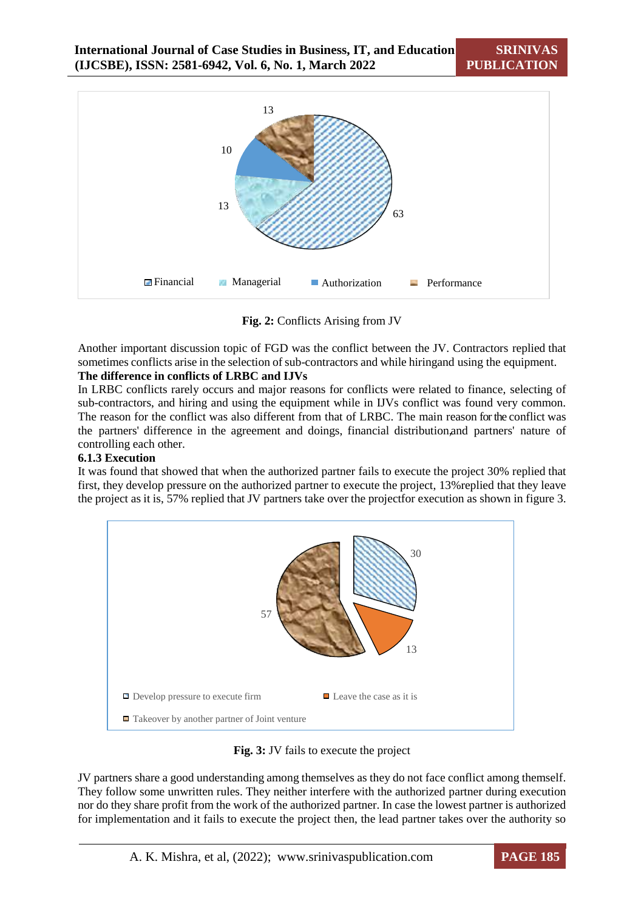

**Fig. 2:** Conflicts Arising from JV

Another important discussion topic of FGD was the conflict between the JV. Contractors replied that sometimes conflicts arise in the selection of sub-contractors and while hiringand using the equipment.

## **The difference in conflicts of LRBC and IJVs**

In LRBC conflicts rarely occurs and major reasons for conflicts were related to finance, selecting of sub-contractors, and hiring and using the equipment while in IJVs conflict was found very common. The reason for the conflict was also different from that of LRBC. The main reason for the conflict was the partners' difference in the agreement and doings, financial distribution, and partners' nature of controlling each other.

#### **6.1.3 Execution**

It was found that showed that when the authorized partner fails to execute the project 30% replied that first, they develop pressure on the authorized partner to execute the project, 13%replied that they leave the project as it is, 57% replied that JV partners take over the projectfor execution as shown in figure 3.



**Fig. 3:** JV fails to execute the project

JV partners share a good understanding among themselves as they do not face conflict among themself. They follow some unwritten rules. They neither interfere with the authorized partner during execution nor do they share profit from the work of the authorized partner. In case the lowest partner is authorized for implementation and it fails to execute the project then, the lead partner takes over the authority so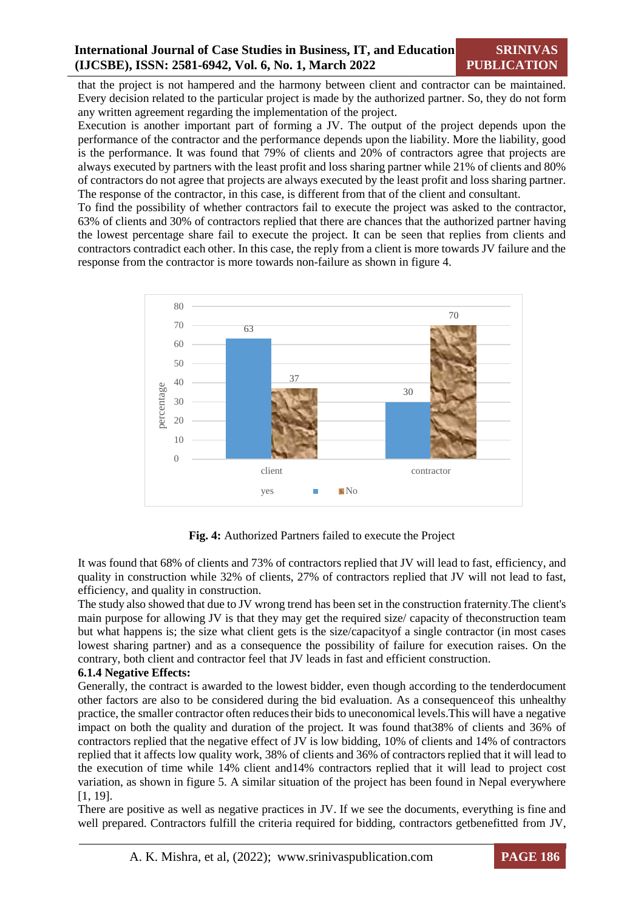that the project is not hampered and the harmony between client and contractor can be maintained. Every decision related to the particular project is made by the authorized partner. So, they do not form any written agreement regarding the implementation of the project.

Execution is another important part of forming a JV. The output of the project depends upon the performance of the contractor and the performance depends upon the liability. More the liability, good is the performance. It was found that 79% of clients and 20% of contractors agree that projects are always executed by partners with the least profit and loss sharing partner while 21% of clients and 80% of contractors do not agree that projects are always executed by the least profit and loss sharing partner. The response of the contractor, in this case, is different from that of the client and consultant.

To find the possibility of whether contractors fail to execute the project was asked to the contractor, 63% of clients and 30% of contractors replied that there are chances that the authorized partner having the lowest percentage share fail to execute the project. It can be seen that replies from clients and contractors contradict each other. In this case, the reply from a client is more towards JV failure and the response from the contractor is more towards non-failure as shown in figure 4.



**Fig. 4:** Authorized Partners failed to execute the Project

It was found that 68% of clients and 73% of contractors replied that JV will lead to fast, efficiency, and quality in construction while 32% of clients, 27% of contractors replied that JV will not lead to fast, efficiency, and quality in construction.

The study also showed that due to JV wrong trend has been set in the construction fraternity.The client's main purpose for allowing JV is that they may get the required size/ capacity of theconstruction team but what happens is; the size what client gets is the size/capacityof a single contractor (in most cases lowest sharing partner) and as a consequence the possibility of failure for execution raises. On the contrary, both client and contractor feel that JV leads in fast and efficient construction.

## **6.1.4 Negative Effects:**

Generally, the contract is awarded to the lowest bidder, even though according to the tenderdocument other factors are also to be considered during the bid evaluation. As a consequenceof this unhealthy practice, the smaller contractor often reduces their bidsto uneconomical levels.This will have a negative impact on both the quality and duration of the project. It was found that38% of clients and 36% of contractors replied that the negative effect of JV is low bidding, 10% of clients and 14% of contractors replied that it affects low quality work, 38% of clients and 36% of contractors replied that it will lead to the execution of time while 14% client and14% contractors replied that it will lead to project cost variation, as shown in figure 5. A similar situation of the project has been found in Nepal everywhere [1, 19].

There are positive as well as negative practices in JV. If we see the documents, everything is fine and well prepared. Contractors fulfill the criteria required for bidding, contractors getbenefitted from JV,

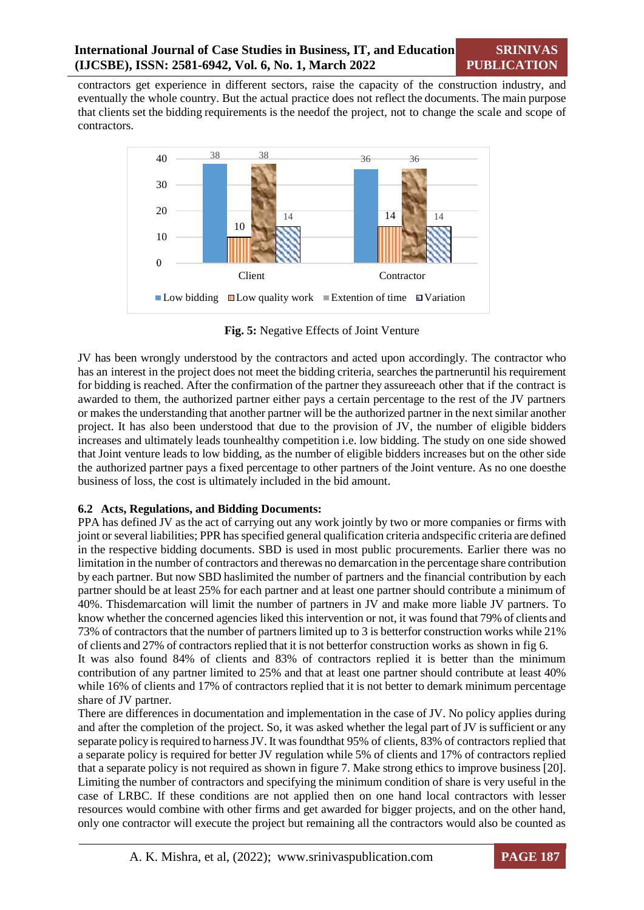contractors get experience in different sectors, raise the capacity of the construction industry, and eventually the whole country. But the actual practice does not reflect the documents. The main purpose that clients set the bidding requirements is the needof the project, not to change the scale and scope of contractors.



**Fig. 5:** Negative Effects of Joint Venture

JV has been wrongly understood by the contractors and acted upon accordingly. The contractor who has an interest in the project does not meet the bidding criteria, searches the partneruntil his requirement for bidding is reached. After the confirmation of the partner they assureeach other that if the contract is awarded to them, the authorized partner either pays a certain percentage to the rest of the JV partners or makes the understanding that another partner will be the authorized partner in the next similar another project. It has also been understood that due to the provision of JV, the number of eligible bidders increases and ultimately leads tounhealthy competition i.e. low bidding. The study on one side showed that Joint venture leads to low bidding, as the number of eligible bidders increases but on the other side the authorized partner pays a fixed percentage to other partners of the Joint venture. As no one doesthe business of loss, the cost is ultimately included in the bid amount.

## **6.2 Acts, Regulations, and Bidding Documents:**

PPA has defined JV as the act of carrying out any work jointly by two or more companies or firms with joint or several liabilities; PPR has specified general qualification criteria andspecific criteria are defined in the respective bidding documents. SBD is used in most public procurements. Earlier there was no limitation in the number of contractors and therewas no demarcation in the percentage share contribution by each partner. But now SBD haslimited the number of partners and the financial contribution by each partner should be at least 25% for each partner and at least one partner should contribute a minimum of 40%. Thisdemarcation will limit the number of partners in JV and make more liable JV partners. To know whether the concerned agencies liked this intervention or not, it was found that 79% of clients and 73% of contractors that the number of partners limited up to 3 is betterfor construction works while 21% of clients and 27% of contractors replied that it is not betterfor construction works as shown in fig 6.

It was also found 84% of clients and 83% of contractors replied it is better than the minimum contribution of any partner limited to 25% and that at least one partner should contribute at least 40% while 16% of clients and 17% of contractors replied that it is not better to demark minimum percentage share of JV partner.

There are differences in documentation and implementation in the case of JV. No policy applies during and after the completion of the project. So, it was asked whether the legal part of  $JV$  is sufficient or any separate policy is required to harness JV. It was found that 95% of clients, 83% of contractors replied that a separate policy is required for better JV regulation while 5% of clients and 17% of contractors replied that a separate policy is not required as shown in figure 7. Make strong ethics to improve business [20]. Limiting the number of contractors and specifying the minimum condition of share is very useful in the case of LRBC. If these conditions are not applied then on one hand local contractors with lesser resources would combine with other firms and get awarded for bigger projects, and on the other hand, only one contractor will execute the project but remaining all the contractors would also be counted as

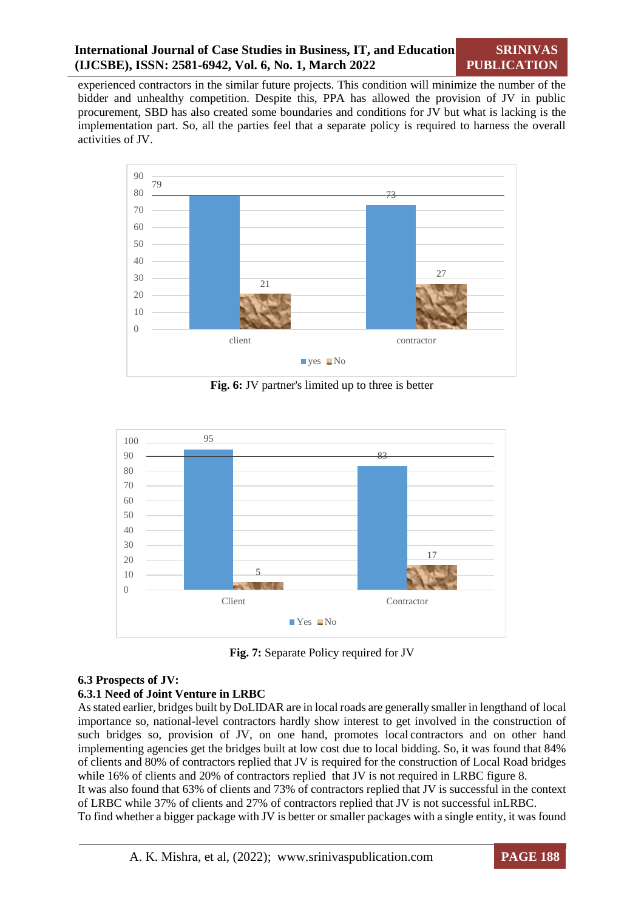experienced contractors in the similar future projects. This condition will minimize the number of the bidder and unhealthy competition. Despite this, PPA has allowed the provision of JV in public procurement, SBD has also created some boundaries and conditions for JV but what is lacking is the implementation part. So, all the parties feel that a separate policy is required to harness the overall activities of JV.



**Fig. 6:** JV partner's limited up to three is better



**Fig. 7:** Separate Policy required for JV

## **6.3 Prospects of JV:**

## **6.3.1 Need of Joint Venture in LRBC**

Asstated earlier, bridges built by DoLIDAR are in local roads are generally smaller in lengthand of local importance so, national-level contractors hardly show interest to get involved in the construction of such bridges so, provision of JV, on one hand, promotes local contractors and on other hand implementing agencies get the bridges built at low cost due to local bidding. So, it was found that 84% of clients and 80% of contractors replied that JV is required for the construction of Local Road bridges while 16% of clients and 20% of contractors replied that JV is not required in LRBC figure 8.

It was also found that 63% of clients and 73% of contractors replied that JV is successful in the context of LRBC while 37% of clients and 27% of contractors replied that JV is not successful inLRBC.

To find whether a bigger package with JV is better or smaller packages with a single entity, it was found

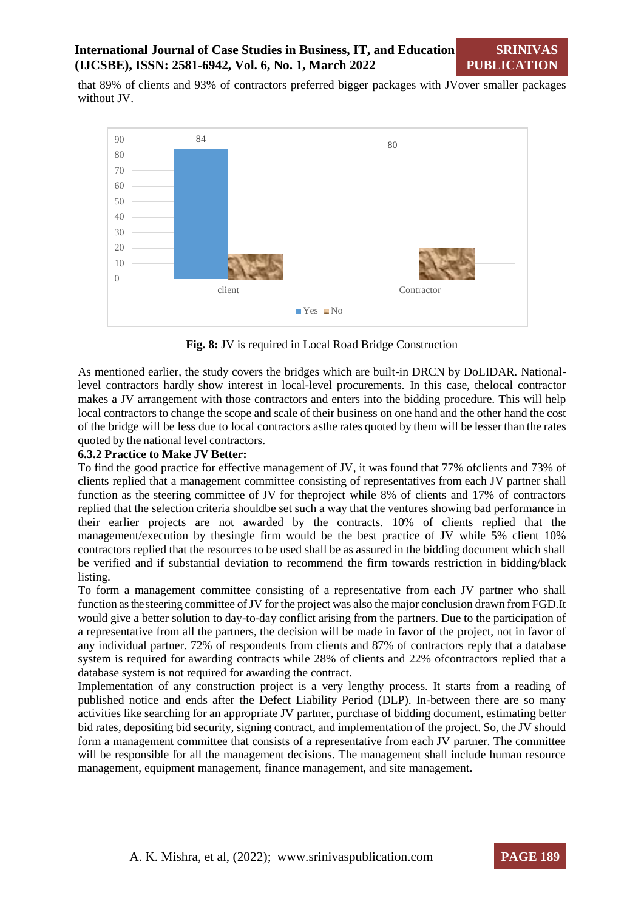that 89% of clients and 93% of contractors preferred bigger packages with JVover smaller packages without JV.



**Fig. 8:** JV is required in Local Road Bridge Construction

As mentioned earlier, the study covers the bridges which are built-in DRCN by DoLIDAR. Nationallevel contractors hardly show interest in local-level procurements. In this case, thelocal contractor makes a JV arrangement with those contractors and enters into the bidding procedure. This will help local contractors to change the scope and scale of their business on one hand and the other hand the cost of the bridge will be less due to local contractors asthe rates quoted by them will be lesser than the rates quoted by the national level contractors.

## **6.3.2 Practice to Make JV Better:**

To find the good practice for effective management of JV, it was found that 77% ofclients and 73% of clients replied that a management committee consisting of representatives from each JV partner shall function as the steering committee of JV for theproject while 8% of clients and 17% of contractors replied that the selection criteria shouldbe set such a way that the ventures showing bad performance in their earlier projects are not awarded by the contracts. 10% of clients replied that the management/execution by thesingle firm would be the best practice of JV while 5% client 10% contractors replied that the resources to be used shall be as assured in the bidding document which shall be verified and if substantial deviation to recommend the firm towards restriction in bidding/black listing.

To form a management committee consisting of a representative from each JV partner who shall function as the steering committee of JV for the project was also the major conclusion drawn from FGD.It would give a better solution to day-to-day conflict arising from the partners. Due to the participation of a representative from all the partners, the decision will be made in favor of the project, not in favor of any individual partner. 72% of respondents from clients and 87% of contractors reply that a database system is required for awarding contracts while 28% of clients and 22% ofcontractors replied that a database system is not required for awarding the contract.

Implementation of any construction project is a very lengthy process. It starts from a reading of published notice and ends after the Defect Liability Period (DLP). In-between there are so many activities like searching for an appropriate JV partner, purchase of bidding document, estimating better bid rates, depositing bid security, signing contract, and implementation of the project. So, the JV should form a management committee that consists of a representative from each JV partner. The committee will be responsible for all the management decisions. The management shall include human resource management, equipment management, finance management, and site management.

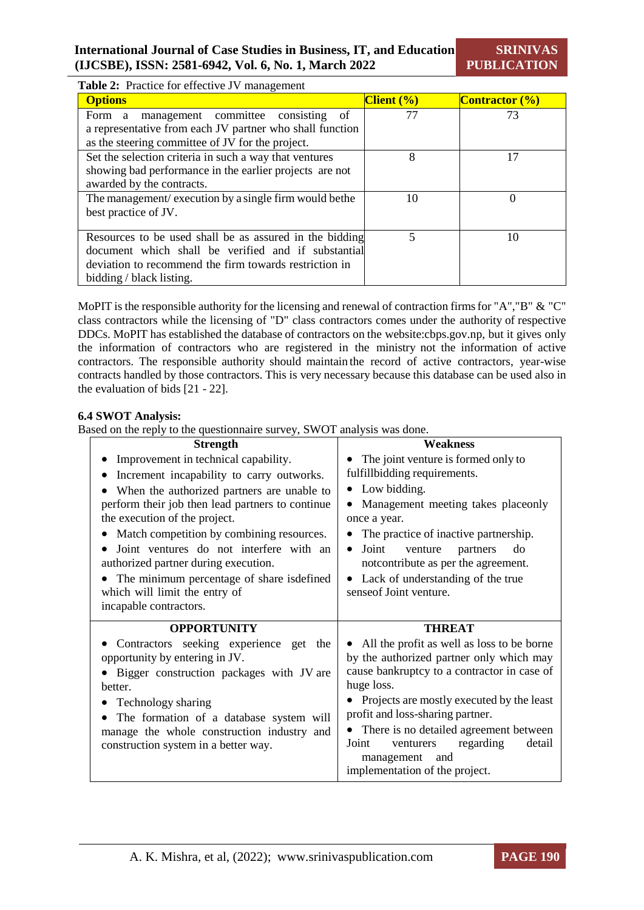**SRINIVAS PUBLICATION**

|  | Table 2: Practice for effective JV management |
|--|-----------------------------------------------|
|--|-----------------------------------------------|

| <b>Options</b>                                           | $C$ lient $(\% )$ | <b>Contractor</b> $\left(\frac{0}{0}\right)$ |
|----------------------------------------------------------|-------------------|----------------------------------------------|
| management committee consisting of<br>Form a             | 77                | 73                                           |
| a representative from each JV partner who shall function |                   |                                              |
| as the steering committee of JV for the project.         |                   |                                              |
| Set the selection criteria in such a way that ventures   | 8                 | 17                                           |
| showing bad performance in the earlier projects are not  |                   |                                              |
| awarded by the contracts.                                |                   |                                              |
| The management/ execution by a single firm would be the  | 10                | $\Omega$                                     |
| best practice of JV.                                     |                   |                                              |
|                                                          |                   |                                              |
| Resources to be used shall be as assured in the bidding  |                   | 10                                           |
| document which shall be verified and if substantial      |                   |                                              |
| deviation to recommend the firm towards restriction in   |                   |                                              |
| bidding / black listing.                                 |                   |                                              |

MoPIT is the responsible authority for the licensing and renewal of contraction firms for "A","B" & "C" class contractors while the licensing of "D" class contractors comes under the authority of respective DDCs. MoPIT has established the database of contractors on the website:cbps.gov.np, but it gives only the information of contractors who are registered in the ministry not the information of active contractors. The responsible authority should maintain the record of active contractors, year-wise contracts handled by those contractors. This is very necessary because this database can be used also in the evaluation of bids [21 - 22].

#### **6.4 SWOT Analysis:**

Based on the reply to the questionnaire survey, SWOT analysis was done.

| <b>Strength</b>                                                                       | <b>Weakness</b>                                                                        |  |  |
|---------------------------------------------------------------------------------------|----------------------------------------------------------------------------------------|--|--|
| Improvement in technical capability.                                                  | The joint venture is formed only to                                                    |  |  |
| Increment incapability to carry outworks.                                             | fulfillbidding requirements.                                                           |  |  |
| When the authorized partners are unable to                                            | Low bidding.<br>$\bullet$                                                              |  |  |
| perform their job then lead partners to continue                                      | Management meeting takes placeonly                                                     |  |  |
| the execution of the project.                                                         | once a year.                                                                           |  |  |
| Match competition by combining resources.                                             | The practice of inactive partnership.                                                  |  |  |
| Joint ventures do not interfere with an<br>authorized partner during execution.       | Joint<br>venture<br>do<br>$\bullet$<br>partners<br>notcontribute as per the agreement. |  |  |
| The minimum percentage of share isdefined                                             | • Lack of understanding of the true                                                    |  |  |
| which will limit the entry of                                                         | sense of Joint venture.                                                                |  |  |
| incapable contractors.                                                                |                                                                                        |  |  |
| <b>OPPORTUNITY</b>                                                                    | <b>THREAT</b>                                                                          |  |  |
| Contractors seeking experience get the                                                | • All the profit as well as loss to be borne                                           |  |  |
|                                                                                       | by the authorized partner only which may                                               |  |  |
| opportunity by entering in JV.                                                        |                                                                                        |  |  |
| Bigger construction packages with JV are<br>better.                                   | cause bankruptcy to a contractor in case of<br>huge loss.                              |  |  |
|                                                                                       | Projects are mostly executed by the least                                              |  |  |
| Technology sharing                                                                    | profit and loss-sharing partner.                                                       |  |  |
| The formation of a database system will<br>manage the whole construction industry and | There is no detailed agreement between                                                 |  |  |
| construction system in a better way.                                                  | regarding<br>detail<br>Joint<br>venturers                                              |  |  |
|                                                                                       | management and<br>implementation of the project.                                       |  |  |

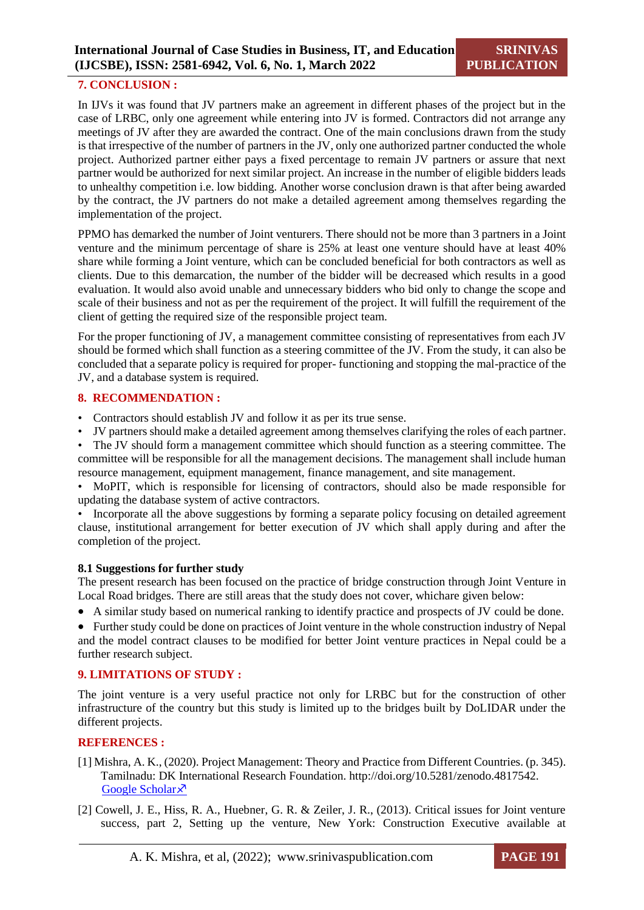## **7. CONCLUSION :**

In IJVs it was found that JV partners make an agreement in different phases of the project but in the case of LRBC, only one agreement while entering into JV is formed. Contractors did not arrange any meetings of JV after they are awarded the contract. One of the main conclusions drawn from the study is that irrespective of the number of partners in the JV, only one authorized partner conducted the whole project. Authorized partner either pays a fixed percentage to remain JV partners or assure that next partner would be authorized for next similar project. An increase in the number of eligible bidders leads to unhealthy competition i.e. low bidding. Another worse conclusion drawn is that after being awarded by the contract, the JV partners do not make a detailed agreement among themselves regarding the implementation of the project.

PPMO has demarked the number of Joint venturers. There should not be more than 3 partners in a Joint venture and the minimum percentage of share is 25% at least one venture should have at least 40% share while forming a Joint venture, which can be concluded beneficial for both contractors as well as clients. Due to this demarcation, the number of the bidder will be decreased which results in a good evaluation. It would also avoid unable and unnecessary bidders who bid only to change the scope and scale of their business and not as per the requirement of the project. It will fulfill the requirement of the client of getting the required size of the responsible project team.

For the proper functioning of JV, a management committee consisting of representatives from each JV should be formed which shall function as a steering committee of the JV. From the study, it can also be concluded that a separate policy is required for proper- functioning and stopping the mal-practice of the JV, and a database system is required.

#### **8. RECOMMENDATION :**

- Contractors should establish JV and follow it as per its true sense.
- JV partners should make a detailed agreement among themselves clarifying the roles of each partner.

• The JV should form a management committee which should function as a steering committee. The committee will be responsible for all the management decisions. The management shall include human resource management, equipment management, finance management, and site management.

• MoPIT, which is responsible for licensing of contractors, should also be made responsible for updating the database system of active contractors.

• Incorporate all the above suggestions by forming a separate policy focusing on detailed agreement clause, institutional arrangement for better execution of JV which shall apply during and after the completion of the project.

#### **8.1 Suggestions for further study**

The present research has been focused on the practice of bridge construction through Joint Venture in Local Road bridges. There are still areas that the study does not cover, whichare given below:

A similar study based on numerical ranking to identify practice and prospects of JV could be done.

 Further study could be done on practices of Joint venture in the whole construction industry of Nepal and the model contract clauses to be modified for better Joint venture practices in Nepal could be a further research subject.

#### **9. LIMITATIONS OF STUDY :**

The joint venture is a very useful practice not only for LRBC but for the construction of other infrastructure of the country but this study is limited up to the bridges built by DoLIDAR under the different projects.

#### **REFERENCES :**

- [1] Mishra, A. K., (2020). Project Management: Theory and Practice from Different Countries. (p. 345). Tamilnadu: DK International Research Foundation. http://doi.org/10.5281/zenodo.4817542. [Google Scholar](https://scholar.google.com/scholar?cluster=8212750834386022561&hl=en&as_sdt=2005&sciodt=0,5) ×
- [2] Cowell, J. E., Hiss, R. A., Huebner, G. R. & Zeiler, J. R., (2013). Critical issues for Joint venture success, part 2, Setting up the venture, New York: Construction Executive available at

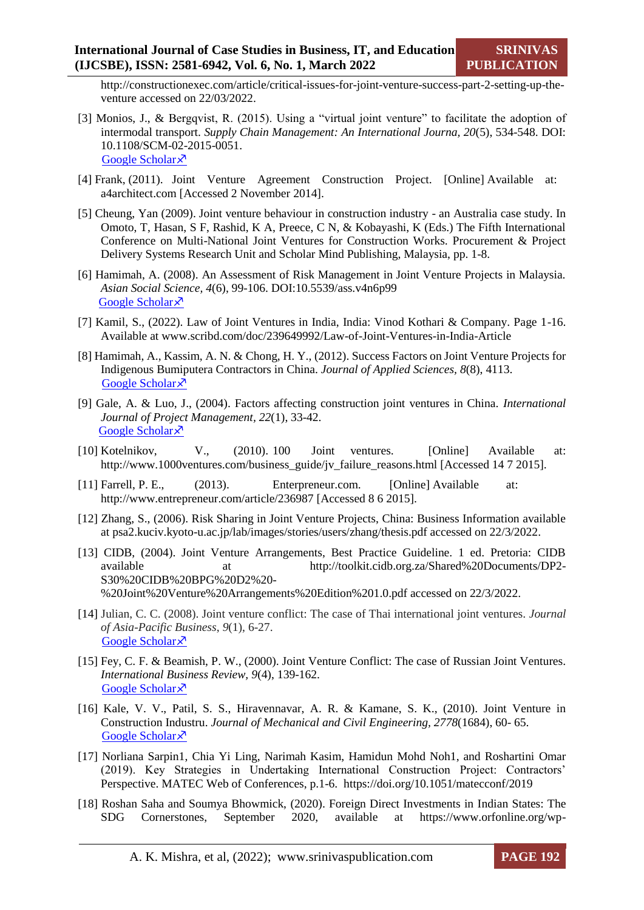http://constructionexec.com/article/critical-issues-for-joint-venture-success-part-2-setting-up-theventure accessed on 22/03/2022.

- [3] Monios, J., & Bergqvist, R. (2015). Using a "virtual joint venture" to facilitate the adoption of intermodal transport. *Supply Chain Management: An International Journa, 20*(5), 534-548. DOI: 10.1108/SCM-02-2015-0051. [Google Scholar](https://www.emerald.com/insight/content/doi/10.1108/SCM-02-2015-0051/full/html) ×
- [4] Frank, (2011). Joint Venture Agreement Construction Project. [Online] Available at: a4architect.com [Accessed 2 November 2014].
- [5] Cheung, Yan (2009). Joint venture behaviour in construction industry an Australia case study. In Omoto, T, Hasan, S F, Rashid, K A, Preece, C N, & Kobayashi, K (Eds.) The Fifth International Conference on Multi-National Joint Ventures for Construction Works. Procurement & Project Delivery Systems Research Unit and Scholar Mind Publishing, Malaysia, pp. 1-8.
- [6] Hamimah, A. (2008). An Assessment of Risk Management in Joint Venture Projects in Malaysia. *Asian Social Science, 4*(6), 99-106. DOI:10.5539/ass.v4n6p99 [Google Scholar](https://pdfs.semanticscholar.org/cd25/562e1771362c7565bfd3c9ca3fcf276162a2.pdf) ×
- [7] Kamil, S., (2022). Law of Joint Ventures in India, India: Vinod Kothari & Company. Page 1-16. Available at www.scribd.com/doc/239649992/Law-of-Joint-Ventures-in-India-Article
- [8] Hamimah, A., Kassim, A. N. & Chong, H. Y., (2012). Success Factors on Joint Venture Projects for Indigenous Bumiputera Contractors in China. *Journal of Applied Sciences, 8*(8), 4113. [Google Scholar](https://espace.curtin.edu.au/handle/20.500.11937/40078) ×
- [9] Gale, A. & Luo, J., (2004). Factors affecting construction joint ventures in China. *International Journal of Project Management, 22*(1), 33-42. [Google Scholar](https://www.sciencedirect.com/science/article/pii/S0263786303000127) ×
- [10] Kotelnikov, V., (2010). 100 Joint ventures. [Online] Available at: http://www.1000ventures.com/business\_guide/jv\_failure\_reasons.html [Accessed 14 7 2015].
- [11] Farrell, P. E., (2013). Enterpreneur.com. [Online] Available at: http://www.entrepreneur.com/article/236987 [Accessed 8 6 2015].
- [12] Zhang, S., (2006). Risk Sharing in Joint Venture Projects, China: Business Information available at psa2.kuciv.kyoto-u.ac.jp/lab/images/stories/users/zhang/thesis.pdf accessed on 22/3/2022.
- [13] CIDB, (2004). Joint Venture Arrangements, Best Practice Guideline. 1 ed. Pretoria: CIDB available at http://toolkit.cidb.org.za/Shared%20Documents/DP2- S30%20CIDB%20BPG%20D2%20- %20Joint%20Venture%20Arrangements%20Edition%201.0.pdf accessed on 22/3/2022.
- [14] Julian, C. C. (2008). Joint venture conflict: The case of Thai international joint ventures. *Journal of Asia-Pacific Business*, *9*(1), 6-27. [Google Scholar](https://www.tandfonline.com/doi/abs/10.1080/10599230801971242) ×
- [15] Fey, C. F. & Beamish, P. W., (2000). Joint Venture Conflict: The case of Russian Joint Ventures. *International Business Review, 9*(4), 139-162. [Google Scholar](https://www.sciencedirect.com/science/article/pii/S0969593199000347) ×
- [16] Kale, V. V., Patil, S. S., Hiravennavar, A. R. & Kamane, S. K., (2010). Joint Venture in Construction Industru. *Journal of Mechanical and Civil Engineering, 2778*(1684), 60- 65. [Google Scholar](https://www.iosrjournals.org/iosr-jmce/papers/sicete(civil)-volume3/36.pdf)<sup> $\lambda$ </sup>
- [17] Norliana Sarpin1, Chia Yi Ling, Narimah Kasim, Hamidun Mohd Noh1, and Roshartini Omar (2019). Key Strategies in Undertaking International Construction Project: Contractors' Perspective. MATEC Web of Conferences, p.1-6. https://doi.org/10.1051/matecconf/2019
- [18] Roshan Saha and Soumya Bhowmick, (2020). Foreign Direct Investments in Indian States: The SDG Cornerstones, September 2020, available at https://www.orfonline.org/wp-